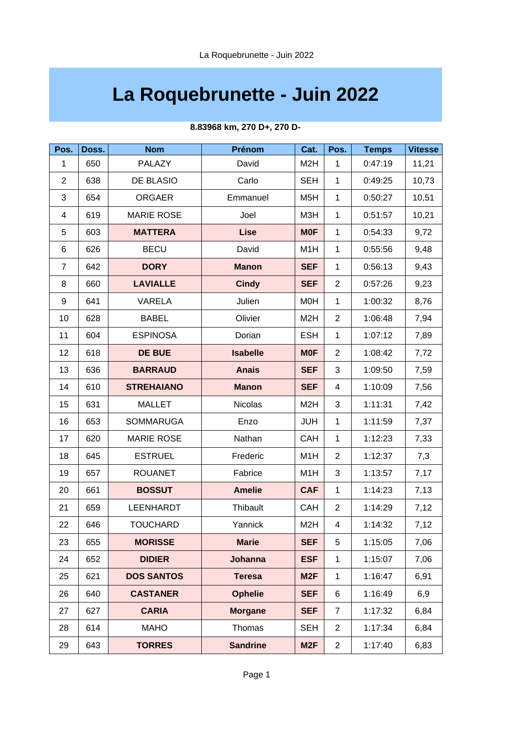## **La Roquebrunette - Juin 2022**

| Pos.           | Doss. | <b>Nom</b>        | Prénom          | Cat.             | Pos.           | <b>Temps</b> | <b>Vitesse</b> |
|----------------|-------|-------------------|-----------------|------------------|----------------|--------------|----------------|
| $\mathbf{1}$   | 650   | PALAZY            | David           | M <sub>2</sub> H | $\mathbf{1}$   | 0:47:19      | 11,21          |
| $\overline{2}$ | 638   | DE BLASIO         | Carlo           | <b>SEH</b>       | $\mathbf{1}$   | 0:49:25      | 10,73          |
| 3              | 654   | <b>ORGAER</b>     | Emmanuel        | M <sub>5</sub> H | $\mathbf{1}$   | 0:50:27      | 10,51          |
| 4              | 619   | <b>MARIE ROSE</b> | Joel            | M3H              | $\mathbf{1}$   | 0:51:57      | 10,21          |
| 5              | 603   | <b>MATTERA</b>    | <b>Lise</b>     | <b>MOF</b>       | $\mathbf{1}$   | 0:54:33      | 9,72           |
| 6              | 626   | <b>BECU</b>       | David           | M1H              | $\mathbf{1}$   | 0:55:56      | 9,48           |
| $\overline{7}$ | 642   | <b>DORY</b>       | <b>Manon</b>    | <b>SEF</b>       | $\mathbf{1}$   | 0:56:13      | 9,43           |
| 8              | 660   | <b>LAVIALLE</b>   | <b>Cindy</b>    | <b>SEF</b>       | $\overline{c}$ | 0:57:26      | 9,23           |
| 9              | 641   | <b>VARELA</b>     | Julien          | M0H              | $\mathbf{1}$   | 1:00:32      | 8,76           |
| 10             | 628   | <b>BABEL</b>      | Olivier         | M <sub>2</sub> H | $\overline{2}$ | 1:06:48      | 7,94           |
| 11             | 604   | <b>ESPINOSA</b>   | Dorian          | <b>ESH</b>       | $\mathbf{1}$   | 1:07:12      | 7,89           |
| 12             | 618   | <b>DE BUE</b>     | <b>Isabelle</b> | <b>MOF</b>       | $\overline{c}$ | 1:08:42      | 7,72           |
| 13             | 636   | <b>BARRAUD</b>    | <b>Anais</b>    | <b>SEF</b>       | 3              | 1:09:50      | 7,59           |
| 14             | 610   | <b>STREHAIANO</b> | <b>Manon</b>    | <b>SEF</b>       | 4              | 1:10:09      | 7,56           |
| 15             | 631   | <b>MALLET</b>     | <b>Nicolas</b>  | M <sub>2</sub> H | 3              | 1:11:31      | 7,42           |
| 16             | 653   | <b>SOMMARUGA</b>  | Enzo            | <b>JUH</b>       | $\mathbf{1}$   | 1:11:59      | 7,37           |
| 17             | 620   | <b>MARIE ROSE</b> | Nathan          | <b>CAH</b>       | $\mathbf{1}$   | 1:12:23      | 7,33           |
| 18             | 645   | <b>ESTRUEL</b>    | Frederic        | M1H              | $\overline{c}$ | 1:12:37      | 7,3            |
| 19             | 657   | <b>ROUANET</b>    | Fabrice         | M1H              | 3              | 1:13:57      | 7,17           |
| 20             | 661   | <b>BOSSUT</b>     | <b>Amelie</b>   | <b>CAF</b>       | $\mathbf{1}$   | 1:14:23      | 7,13           |
| 21             | 659   | <b>LEENHARDT</b>  | Thibault        | CAH              | $\overline{c}$ | 1:14:29      | 7,12           |
| 22             | 646   | <b>TOUCHARD</b>   | Yannick         | M <sub>2</sub> H | 4              | 1:14:32      | 7,12           |
| 23             | 655   | <b>MORISSE</b>    | <b>Marie</b>    | <b>SEF</b>       | 5              | 1:15:05      | 7,06           |
| 24             | 652   | <b>DIDIER</b>     | <b>Johanna</b>  | <b>ESF</b>       | 1              | 1:15:07      | 7,06           |
| 25             | 621   | <b>DOS SANTOS</b> | <b>Teresa</b>   | M <sub>2F</sub>  | $\mathbf{1}$   | 1:16:47      | 6,91           |
| 26             | 640   | <b>CASTANER</b>   | <b>Ophelie</b>  | <b>SEF</b>       | 6              | 1:16:49      | 6,9            |
| 27             | 627   | <b>CARIA</b>      | <b>Morgane</b>  | <b>SEF</b>       | $\overline{7}$ | 1:17:32      | 6,84           |
| 28             | 614   | <b>MAHO</b>       | Thomas          | <b>SEH</b>       | $\overline{2}$ | 1:17:34      | 6,84           |
| 29             | 643   | <b>TORRES</b>     | <b>Sandrine</b> | M <sub>2F</sub>  | $\overline{c}$ | 1:17:40      | 6,83           |

## **8.83968 km, 270 D+, 270 D-**